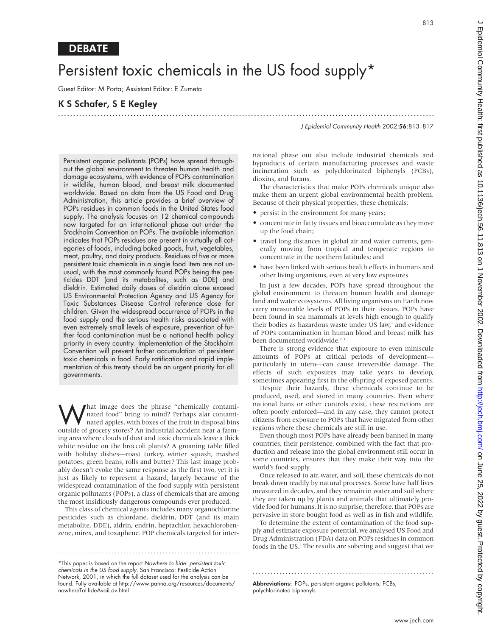## DEBATE

# Persistent toxic chemicals in the US food supply\*

Guest Editor: M Porta; Assistant Editor: E Zumeta

## K S Schafer, S E Kegley

.............................................................................................................................

J Epidemiol Community Health 2002;56:813–817

Persistent organic pollutants (POPs) have spread throughout the global environment to threaten human health and damage ecosystems, with evidence of POPs contamination in wildlife, human blood, and breast milk documented worldwide. Based on data from the US Food and Drug Administration, this article provides a brief overview of POPs residues in common foods in the United States food supply. The analysis focuses on 12 chemical compounds now targeted for an international phase out under the Stockholm Convention on POPs. The available information indicates that POPs residues are present in virtually all categories of foods, including baked goods, fruit, vegetables, meat, poultry, and dairy products. Residues of five or more persistent toxic chemicals in a single food item are not unusual, with the most commonly found POPs being the pesticides DDT (and its metabolites, such as DDE) and dieldrin. Estimated daily doses of dieldrin alone exceed US Environmental Protection Agency and US Agency for Toxic Substances Disease Control reference dose for children. Given the widespread occurrence of POPs in the food supply and the serious health risks associated with even extremely small levels of exposure, prevention of further food contamination must be a national health policy priority in every country. Implementation of the Stockholm Convention will prevent further accumulation of persistent toxic chemicals in food. Early ratification and rapid implementation of this treaty should be an urgent priority for all governments.

**What image does the phrase "chemically contami-**<br>nated food" bring to mind? Perhaps alar contami-<br>nated apples, with boxes of the fruit in disposal bins<br>outside of grocery stores? An industrial accident near a farm nated food" bring to mind? Perhaps alar contaminated apples, with boxes of the fruit in disposal bins outside of grocery stores? An industrial accident near a farming area where clouds of dust and toxic chemicals leave a thick white residue on the broccoli plants? A groaning table filled with holiday dishes—roast turkey, winter squash, mashed potatoes, green beans, rolls and butter? This last image probably doesn't evoke the same response as the first two, yet it is just as likely to represent a hazard, largely because of the widespread contamination of the food supply with persistent organic pollutants (POPs), a class of chemicals that are among the most insidiously dangerous compounds ever produced.

This class of chemical agents includes many organochlorine pesticides such as chlordane, dieldrin, DDT (and its main metabolite, DDE), aldrin, endrin, heptachlor, hexachlorobenzene, mirex, and toxaphene. POP chemicals targeted for inter-

.............................................................

\*This paper is based on the report Nowhere to hide: persistent toxic chemicals in the US food supply. San Francisco: Pesticide Action Network, 2001, in which the full dataset used for the analysis can be found. Fully available at http://www.panna.org/resources/documents/ nowhereToHideAvail.dv.html

national phase out also include industrial chemicals and byproducts of certain manufacturing processes and waste incineration such as polychlorinated biphenyls (PCBs), dioxins, and furans.

The characteristics that make POPs chemicals unique also make them an urgent global environmental health problem. Because of their physical properties, these chemicals:

- persist in the environment for many years;
- concentrate in fatty tissues and bioaccumulate as they move up the food chain;
- travel long distances in global air and water currents, generally moving from tropical and temperate regions to concentrate in the northern latitudes; and
- have been linked with serious health effects in humans and other living organisms, even at very low exposures.

In just a few decades, POPs have spread throughout the global environment to threaten human health and damage land and water ecosystems. All living organisms on Earth now carry measurable levels of POPs in their tissues. POPs have been found in sea mammals at levels high enough to qualify their bodies as hazardous waste under US law,<sup>1</sup> and evidence of POPs contamination in human blood and breast milk has been documented worldwide.<sup>23</sup>

There is strong evidence that exposure to even miniscule amounts of POPs at critical periods of development particularly in utero—can cause irreversible damage. The effects of such exposures may take years to develop, sometimes appearing first in the offspring of exposed parents.

Despite their hazards, these chemicals continue to be produced, used, and stored in many countries. Even where national bans or other controls exist, these restrictions are often poorly enforced—and in any case, they cannot protect citizens from exposure to POPs that have migrated from other regions where these chemicals are still in use.

Even though most POPs have already been banned in many countries, their persistence, combined with the fact that production and release into the global environment still occur in some countries, ensures that they make their way into the world's food supply.

Once released to air, water, and soil, these chemicals do not break down readily by natural processes. Some have half lives measured in decades, and they remain in water and soil where they are taken up by plants and animals that ultimately provide food for humans. It is no surprise, therefore, that POPs are pervasive in store bought food as well as in fish and wildlife.

To determine the extent of contamination of the food supply and estimate exposure potential, we analysed US Food and Drug Administration (FDA) data on POPs residues in common foods in the US.<sup>4</sup> The results are sobering and suggest that we

.............................................................

Abbreviations: POPs, persistent organic pollutants; PCBs, polychlorinated biphenyls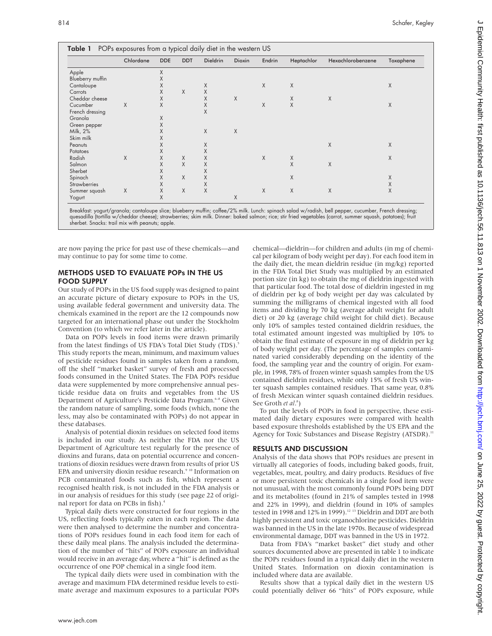|                  | Chlordane | <b>DDE</b> | <b>DDT</b> | Dieldrin | Dioxin | Endrin | Heptachlor | Hexachlorobenzene | Toxaphene |
|------------------|-----------|------------|------------|----------|--------|--------|------------|-------------------|-----------|
| Apple            |           | Χ          |            |          |        |        |            |                   |           |
| Blueberry muffin |           | X          |            |          |        |        |            |                   |           |
| Cantaloupe       |           | X          |            | X        |        | $\chi$ | X          |                   | $\chi$    |
| Carrots          |           | X          | $\chi$     | X        |        |        |            |                   |           |
| Cheddar cheese   |           | Χ          |            | X        | X      |        | X          | X                 |           |
| Cucumber         | X         | X          |            | X        |        | X      | X          |                   | X         |
| French dressing  |           |            |            | X        |        |        |            |                   |           |
| Granola          |           | X          |            |          |        |        |            |                   |           |
| Green pepper     |           | X          |            |          |        |        |            |                   |           |
| Milk, 2%         |           | X          |            | X        | X      |        |            |                   |           |
| Skim milk        |           | X          |            |          |        |        |            |                   |           |
| Peanuts          |           | X          |            | X        |        |        |            | X                 | X         |
| Potatoes         |           | X          |            | X        |        |        |            |                   |           |
| Radish           | X         | Χ          | X          | X        |        | X      | X          |                   | X         |
| Salmon           |           | X          | $\chi$     | X        |        |        | X          | X                 |           |
| Sherbet          |           | Χ          |            | X        |        |        |            |                   |           |
| Spinach          |           | X          | $\chi$     | X        |        |        | X          |                   | X         |
| Strawberries     |           | X          |            | X        |        |        |            |                   | X         |
| Summer squash    | X         | X          | $\chi$     | X        |        | X      | X          | X                 | X         |
| Yogurt           |           | Χ          |            |          | X      |        |            |                   |           |

Breakfast: yogurt/granola; cantaloupe slice; blueberry muffin; coffee/2% milk. Lunch: spinach salad w/radish, bell pepper, cucumber, French dressing; quesadilla (tortilla w/cheddar cheese); strawberries; skim milk. Dinner: baked salmon; rice; stir fried vegetables (carrot, summer squash, potatoes); fruit sherbet. Snacks: trail mix with peanuts; apple.

are now paying the price for past use of these chemicals—and may continue to pay for some time to come.

## METHODS USED TO EVALUATE POPs IN THE US FOOD SUPPLY

Our study of POPs in the US food supply was designed to paint an accurate picture of dietary exposure to POPs in the US, using available federal government and university data. The chemicals examined in the report are the 12 compounds now targeted for an international phase out under the Stockholm Convention (to which we refer later in the article).

Data on POPs levels in food items were drawn primarily from the latest findings of US FDA's Total Diet Study (TDS).<sup>5</sup> This study reports the mean, minimum, and maximum values of pesticide residues found in samples taken from a random, off the shelf "market basket" survey of fresh and processed foods consumed in the United States. The FDA POPs residue data were supplemented by more comprehensive annual pesticide residue data on fruits and vegetables from the US Department of Agriculture's Pesticide Data Program.<sup>6-8</sup> Given the random nature of sampling, some foods (which, none the less, may also be contaminated with POPs) do not appear in these databases.

Analysis of potential dioxin residues on selected food items is included in our study. As neither the FDA nor the US Department of Agriculture test regularly for the presence of dioxins and furans, data on potential occurrence and concentrations of dioxin residues were drawn from results of prior US EPA and university dioxin residue research.<sup>9 10</sup> Information on PCB contaminated foods such as fish, which represent a recognised health risk, is not included in the FDA analysis or in our analysis of residues for this study (see page 22 of original report for data on PCBs in fish).4

Typical daily diets were constructed for four regions in the US, reflecting foods typically eaten in each region. The data were then analysed to determine the number and concentrations of POPs residues found in each food item for each of these daily meal plans. The analysis included the determination of the number of "hits" of POPs exposure an individual would receive in an average day, where a "hit" is defined as the occurrence of one POP chemical in a single food item.

The typical daily diets were used in combination with the average and maximum FDA determined residue levels to estimate average and maximum exposures to a particular POPs

chemical—dieldrin—for children and adults (in mg of chemical per kilogram of body weight per day). For each food item in the daily diet, the mean dieldrin residue (in mg/kg) reported in the FDA Total Diet Study was multiplied by an estimated portion size (in kg) to obtain the mg of dieldrin ingested with that particular food. The total dose of dieldrin ingested in mg of dieldrin per kg of body weight per day was calculated by summing the milligrams of chemical ingested with all food items and dividing by 70 kg (average adult weight for adult diet) or 20 kg (average child weight for child diet). Because only 10% of samples tested contained dieldrin residues, the total estimated amount ingested was multiplied by 10% to obtain the final estimate of exposure in mg of dieldrin per kg of body weight per day. (The percentage of samples contaminated varied considerably depending on the identity of the food, the sampling year and the country of origin. For example, in 1998, 78% of frozen winter squash samples from the US contained dieldrin residues, while only 15% of fresh US winter squash samples contained residues. That same year, 0.8% of fresh Mexican winter squash contained dieldrin residues. See Groth et al.<sup>8</sup>)

To put the levels of POPs in food in perspective, these estimated daily dietary exposures were compared with health based exposure thresholds established by the US EPA and the Agency for Toxic Substances and Disease Registry (ATSDR).<sup>11</sup>

## RESULTS AND DISCUSSION

Analysis of the data shows that POPs residues are present in virtually all categories of foods, including baked goods, fruit, vegetables, meat, poultry, and dairy products. Residues of five or more persistent toxic chemicals in a single food item were not unusual, with the most commonly found POPs being DDT and its metabolites (found in 21% of samples tested in 1998 and 22% in 1999), and dieldrin (found in 10% of samples tested in 1998 and 12% in 1999).<sup>12-13</sup> Dieldrin and DDT are both highly persistent and toxic organochlorine pesticides. Dieldrin was banned in the US in the late 1970s. Because of widespread environmental damage, DDT was banned in the US in 1972.

Data from FDA's "market basket" diet study and other sources documented above are presented in table 1 to indicate the POPs residues found in a typical daily diet in the western United States. Information on dioxin contamination is included where data are available.

Results show that a typical daily diet in the western US could potentially deliver 66 "hits" of POPs exposure, while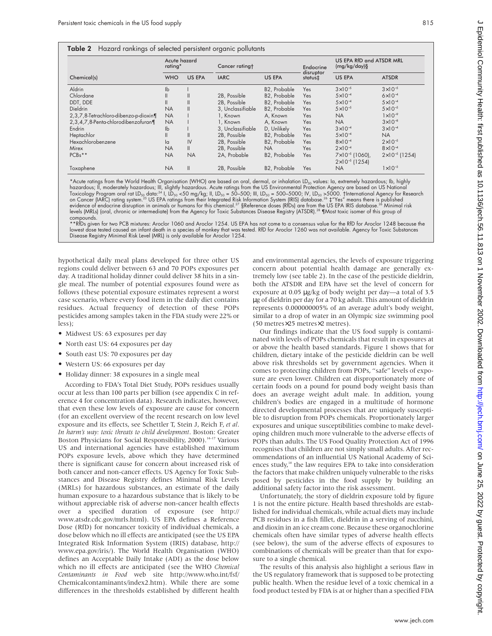|  |  |  |  |  | Table 2 Hazard rankings of selected persistent organic pollutants |  |  |
|--|--|--|--|--|-------------------------------------------------------------------|--|--|
|--|--|--|--|--|-------------------------------------------------------------------|--|--|

|                                       | Acute hazard<br>rating* |               | Cancer ratingt               |                           | Endocrine            | US EPA RfD and ATSDR MRL<br>$(mg/kg/day)$ §         |                         |
|---------------------------------------|-------------------------|---------------|------------------------------|---------------------------|----------------------|-----------------------------------------------------|-------------------------|
| Chemical(s)                           | <b>WHO</b>              | <b>US EPA</b> | <b>US EPA</b><br><b>IARC</b> |                           | disruptor<br>status‡ | <b>US EPA</b>                                       | <b>ATSDR</b>            |
| Aldrin                                | Ib                      |               |                              | <b>B2.</b> Probable       | Yes                  | $3 \times 10^{-5}$                                  | $3 \times 10^{-5}$      |
| Chlordane                             | Ш                       |               | 2B, Possible                 | <b>B2.</b> Probable       | Yes                  | $5 \times 10^{-4}$                                  | $6 \times 10^{-4}$      |
| DDT, DDE                              | Ш                       | Ш             | 2B. Possible                 | <b>B2. Probable</b>       | Yes                  | $5 \times 10^{-4}$                                  | $5 \times 10^{-4}$      |
| <b>Dieldrin</b>                       | <b>NA</b>               | $\mathbf{II}$ | 3, Unclassifiable            | B <sub>2</sub> , Probable | Yes                  | $5 \times 10^{-5}$                                  | $5 \times 10^{-5}$      |
| 2,3,7,8-Tetrachloro-dibenzo-p-dioxin¶ | <b>NA</b>               |               | 1. Known                     | A. Known                  | Yes                  | <b>NA</b>                                           | $1 \times 10^{-9}$      |
| 2,3,4,7,8-Penta-chlorodibenzofuran¶   | <b>NA</b>               |               | 1. Known                     | A, Known                  | Yes                  | <b>NA</b>                                           | $3 \times 10^{-8}$      |
| Endrin                                | Ib                      |               | 3, Unclassifiable            | D, Unlikely               | Yes                  | $3 \times 10^{-4}$                                  | $3 \times 10^{-4}$      |
| Heptachlor                            | Ш                       |               | 2B, Possible                 | <b>B2.</b> Probable       | Yes                  | $5 \times 10^{-4}$                                  | <b>NA</b>               |
| Hexachlorobenzene                     | la                      | IV            | 2B, Possible                 | B2, Probable              | Yes                  | $8 \times 10^{-4}$                                  | $2 \times 10^{-5}$      |
| Mirex                                 | <b>NA</b>               | $\mathbf{II}$ | 2B, Possible                 | <b>NA</b>                 | Yes                  | $2 \times 10^{-4}$                                  | $8\times10^{-4}$        |
| PCBs**                                | <b>NA</b>               | <b>NA</b>     | 2A, Probable                 | B <sub>2</sub> , Probable | Yes                  | $7\times10^{-5}$ (1060),<br>$2\times10^{-5}$ (1254) | $2\times10^{-5}$ (1254) |
| Toxaphene                             | <b>NA</b>               | $\mathsf{II}$ | 2B, Possible                 | B <sub>2</sub> , Probable | Yes                  | <b>NA</b>                                           | $1 \times 10^{-3}$      |

 $*$  Acute ratings from the World Health Organisation (WHO) are based on oral, dermal, or inhalation  $LD_{\rm so}$  values: Ia, extremely hazardous; Ib, highly hazardous; II, moderately hazardous; III, slightly hazardous. Acute ratings from the US Environmental Protection Agency are based on US National<br>Toxicology Program oral rat ID<sub>so</sub> data:<sup>24</sup> I, LD<sub>so</sub> <50 mg/kg; II, ID<sub>so</sub> levels (MRLs) (oral, chronic or intermediate) from the Agency for Toxic Substances Disease Registry (ATSDR).28 ¶Most toxic isomer of this group of compounds.

\*\*RfDs given for two PCB mixtures: Aroclor 1060 and Aroclor 1254. US EPA has not come to a consensus value for the RfD for Aroclor 1248 because the lowest dose tested caused an intant death in a species ot monkey that was tested. RtD tor Aroclor 1260 was not available. Agency tor Toxic Substances<br>Disease Registry Minimal Risk Level (MRL) is only available for Aroclor

hypothetical daily meal plans developed for three other US regions could deliver between 63 and 70 POPs exposures per day. A traditional holiday dinner could deliver 38 hits in a single meal. The number of potential exposures found were as follows (these potential exposure estimates represent a worst case scenario, where every food item in the daily diet contains residues. Actual frequency of detection of these POPs pesticides among samples taken in the FDA study were 22% or less);

- Midwest US: 63 exposures per day
- North east US: 64 exposures per day
- South east US: 70 exposures per day
- Western US: 66 exposures per day
- Holiday dinner: 38 exposures in a single meal

According to FDA's Total Diet Study, POPs residues usually occur at less than 100 parts per billion (see appendix C in reference 4 for concentration data). Research indicates, however, that even these low levels of exposure are cause for concern (for an excellent overview of the recent research on low level exposure and its effects, see Schettler T, Stein J, Reich F, *et al*. *In harm's way: toxic threats to child development*. Boston: Greater Boston Physicians for Social Responsibility, 2000).<sup>14-17</sup> Various US and international agencies have established maximum POPs exposure levels, above which they have determined there is significant cause for concern about increased risk of both cancer and non-cancer effects. US Agency for Toxic Substances and Disease Registry defines Minimal Risk Levels (MRLs) for hazardous substances, an estimate of the daily human exposure to a hazardous substance that is likely to be without appreciable risk of adverse non-cancer health effects over a specified duration of exposure (see http:// www.atsdr.cdc.gov/mrls.html). US EPA defines a Reference Dose (RfD) for noncancer toxicity of individual chemicals, a dose below which no ill effects are anticipated (see the US EPA Integrated Risk Information System (IRIS) database, http:// www.epa.gov/iris/). The World Health Organisation (WHO) defines an Acceptable Daily Intake (ADI) as the dose below which no ill effects are anticipated (see the WHO *Chemical Contaminants in Food* web site http://www.who.int/fsf/ Chemicalcontaminants/index2.htm). While there are some differences in the thresholds established by different health

and environmental agencies, the levels of exposure triggering concern about potential health damage are generally extremely low (see table 2). In the case of the pesticide dieldrin, both the ATSDR and EPA have set the level of concern for exposure at 0.05 µg/kg of body weight per day—a total of 3.5 µg of dieldrin per day for a 70 kg adult. This amount of dieldrin represents 0.000000005% of an average adult's body weight, similar to a drop of water in an Olympic size swimming pool (50 metres×25 metres×2 metres).

Our findings indicate that the US food supply is contaminated with levels of POPs chemicals that result in exposures at or above the health based standards. Figure 1 shows that for children, dietary intake of the pesticide dieldrin can be well above risk thresholds set by government agencies. When it comes to protecting children from POPs, "safe" levels of exposure are even lower. Children eat disproportionately more of certain foods on a pound for pound body weight basis than does an average weight adult male. In addition, young children's bodies are engaged in a multitude of hormone directed developmental processes that are uniquely susceptible to disruption from POPs chemicals. Proportionately larger exposures and unique susceptibilities combine to make developing children much more vulnerable to the adverse effects of POPs than adults. The US Food Quality Protection Act of 1996 recognises that children are not simply small adults. After recommendations of an influential US National Academy of Sciences study,<sup>18</sup> the law requires EPA to take into consideration the factors that make children uniquely vulnerable to the risks posed by pesticides in the food supply by building an additional safety factor into the risk assessment.

Unfortunately, the story of dieldrin exposure told by figure 1 is not the entire picture. Health based thresholds are established for individual chemicals, while actual diets may include PCB residues in a fish fillet, dieldrin in a serving of zucchini, and dioxin in an ice cream cone. Because these organochlorine chemicals often have similar types of adverse health effects (see below), the sum of the adverse effects of exposures to combinations of chemicals will be greater than that for exposure to a single chemical.

The results of this analysis also highlight a serious flaw in the US regulatory framework that is supposed to be protecting public health. When the residue level of a toxic chemical in a food product tested by FDA is at or higher than a specified FDA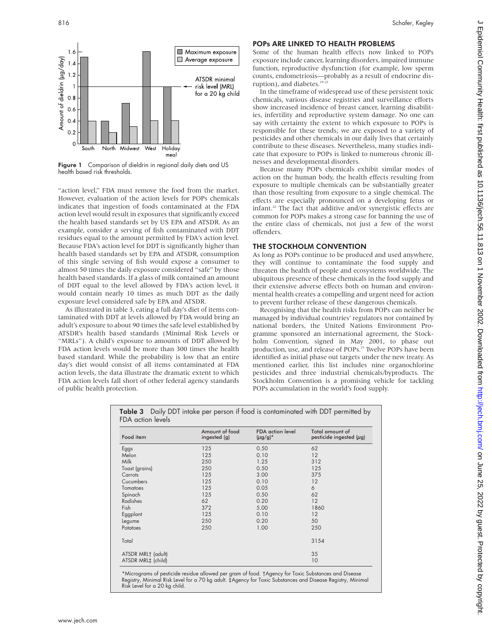

Figure 1 Comparison of dieldrin in regional daily diets and US health based risk thresholds.

"action level," FDA must remove the food from the market. However, evaluation of the action levels for POPs chemicals indicates that ingestion of foods contaminated at the FDA action level would result in exposures that significantly exceed the health based standards set by US EPA and ATSDR. As an example, consider a serving of fish contaminated with DDT residues equal to the amount permitted by FDA's action level. Because FDA's action level for DDT is significantly higher than health based standards set by EPA and ATSDR, consumption of this single serving of fish would expose a consumer to almost 50 times the daily exposure considered "safe" by those health based standards. If a glass of milk contained an amount of DDT equal to the level allowed by FDA's action level, it would contain nearly 10 times as much DDT as the daily exposure level considered safe by EPA and ATSDR.

As illustrated in table 3, eating a full day's diet of items contaminated with DDT at levels allowed by FDA would bring an adult's exposure to about 90 times the safe level established by ATSDR's health based standards (Minimal Risk Levels or "MRLs"). A child's exposure to amounts of DDT allowed by FDA action levels would be more than 300 times the health based standard. While the probability is low that an entire day's diet would consist of all items contaminated at FDA action levels, the data illustrate the dramatic extent to which FDA action levels fall short of other federal agency standards of public health protection.

## POPs ARE LINKED TO HEALTH PROBLEMS

Some of the human health effects now linked to POPs exposure include cancer, learning disorders, impaired immune function, reproductive dysfunction (for example, low sperm counts, endometriosis—probably as a result of endocrine disruption), and diabetes.<sup>19-21</sup>

In the timeframe of widespread use of these persistent toxic chemicals, various disease registries and surveillance efforts show increased incidence of breast cancer, learning disabilities, infertility and reproductive system damage. No one can say with certainty the extent to which exposure to POPs is responsible for these trends; we are exposed to a variety of pesticides and other chemicals in our daily lives that certainly contribute to these diseases. Nevertheless, many studies indicate that exposure to POPs is linked to numerous chronic illnesses and developmental disorders.

Because many POPs chemicals exhibit similar modes of action on the human body, the health effects resulting from exposure to multiple chemicals can be substantially greater than those resulting from exposure to a single chemical. The effects are especially pronounced on a developing fetus or infant.<sup>22</sup> The fact that additive and/or synergistic effects are common for POPs makes a strong case for banning the use of the entire class of chemicals, not just a few of the worst offenders.

## THE STOCKHOLM CONVENTION

As long as POPs continue to be produced and used anywhere, they will continue to contaminate the food supply and threaten the health of people and ecosystems worldwide. The ubiquitous presence of these chemicals in the food supply and their extensive adverse effects both on human and environmental health creates a compelling and urgent need for action to prevent further release of these dangerous chemicals.

Recognising that the health risks from POPs can neither be managed by individual countries' regulators nor contained by national borders, the United Nations Environment Programme sponsored an international agreement, the Stockholm Convention, signed in May 2001, to phase out production, use, and release of POPs.<sup>23</sup> Twelve POPs have been identified as initial phase out targets under the new treaty. As mentioned earlier, this list includes nine organochlorine pesticides and three industrial chemicals/byproducts. The Stockholm Convention is a promising vehicle for tackling POPs accumulation in the world's food supply.

| Food item          | Amount of food<br>ingested (g) | FDA action level<br>$(\mu g/g)^*$ | Total amount of<br>pesticide ingested $(\mu g)$ |
|--------------------|--------------------------------|-----------------------------------|-------------------------------------------------|
| Eggs               | 125                            | 0.50                              | 62                                              |
| Melon              | 125                            | 0.10                              | 12                                              |
| Milk               | 250                            | 1.25                              | 312                                             |
| Toast (grains)     | 250                            | 0.50                              | 125                                             |
| Carrots            | 125                            | 3.00                              | 375                                             |
| Cucumbers          | 125                            | 0.10                              | 12                                              |
| Tomatoes           | 125                            | 0.05                              | 6                                               |
| Spinach            | 125                            | 0.50                              | 62                                              |
| Radishes           | 62                             | 0.20                              | 12                                              |
| Fish               | 372                            | 5.00                              | 1860                                            |
| Eggplant           | 125                            | 0.10                              | 12                                              |
| Legume             | 250                            | 0.20                              | 50                                              |
| Potatoes           | 250                            | 1.00                              | 250                                             |
| Total              |                                |                                   | 3154                                            |
| ATSDR MRL† (adult) |                                |                                   | 35                                              |
| ATSDR MRL‡ (child) |                                |                                   | 10                                              |

\*Micrograms of pesticide residue allowed per gram of food. †Agency for Toxic Substances and Disease Registry, Minimal Risk Level for a 70 kg adult. ‡Agency for Toxic Substances and Disease Registry, Minimal Risk Level for a 20 kg child.

Table 3 Daily DDT intake per person if food is contaminated with DDT permitted by FDA action levels